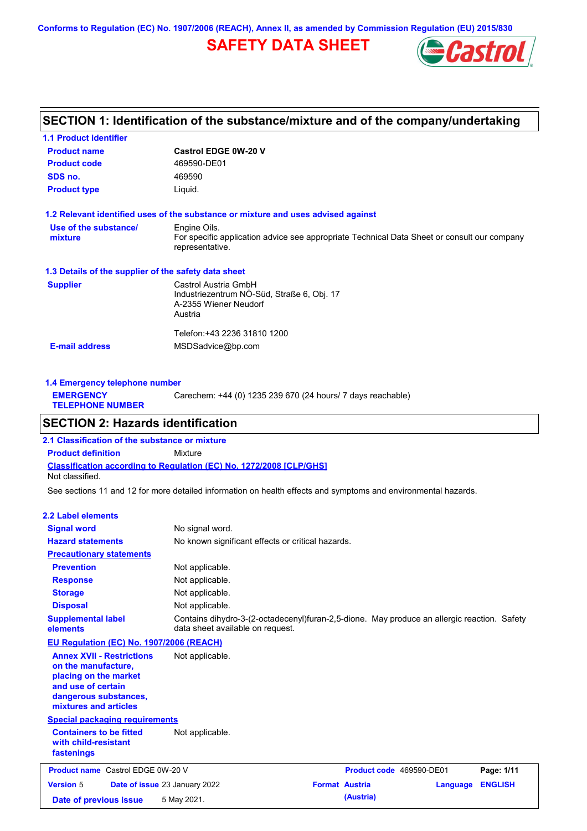**Conforms to Regulation (EC) No. 1907/2006 (REACH), Annex II, as amended by Commission Regulation (EU) 2015/830**

# **SAFETY DATA SHEET**



# **SECTION 1: Identification of the substance/mixture and of the company/undertaking**

| <b>1.1 Product identifier</b>                        |                                                                                                                |
|------------------------------------------------------|----------------------------------------------------------------------------------------------------------------|
| <b>Product name</b>                                  | <b>Castrol EDGE 0W-20 V</b>                                                                                    |
| <b>Product code</b>                                  | 469590-DE01                                                                                                    |
| SDS no.                                              | 469590                                                                                                         |
| <b>Product type</b>                                  | Liquid.                                                                                                        |
|                                                      | 1.2 Relevant identified uses of the substance or mixture and uses advised against                              |
| Use of the substance/                                | Engine Oils.                                                                                                   |
| mixture                                              | For specific application advice see appropriate Technical Data Sheet or consult our company<br>representative. |
| 1.3 Details of the supplier of the safety data sheet |                                                                                                                |
| <b>Supplier</b>                                      | Castrol Austria GmbH                                                                                           |
|                                                      | Industriezentrum NÖ-Süd, Straße 6, Obj. 17                                                                     |
|                                                      | A-2355 Wiener Neudorf                                                                                          |
|                                                      | Austria                                                                                                        |
|                                                      | Telefon:+43 2236 31810 1200                                                                                    |
| <b>E-mail address</b>                                | MSDSadvice@bp.com                                                                                              |
|                                                      |                                                                                                                |
|                                                      |                                                                                                                |

| 1.4 Emergency telephone number              |                                                             |  |  |  |
|---------------------------------------------|-------------------------------------------------------------|--|--|--|
| <b>EMERGENCY</b><br><b>TELEPHONE NUMBER</b> | Carechem: +44 (0) 1235 239 670 (24 hours/ 7 days reachable) |  |  |  |
|                                             |                                                             |  |  |  |

### **SECTION 2: Hazards identification**

**Classification according to Regulation (EC) No. 1272/2008 [CLP/GHS] 2.1 Classification of the substance or mixture Product definition** Mixture Not classified.

See sections 11 and 12 for more detailed information on health effects and symptoms and environmental hazards.

#### **2.2 Label elements**

| <b>Signal word</b><br><b>Hazard statements</b>                                                                                                           | No signal word.<br>No known significant effects or critical hazards.                                                            |                       |                          |          |                |
|----------------------------------------------------------------------------------------------------------------------------------------------------------|---------------------------------------------------------------------------------------------------------------------------------|-----------------------|--------------------------|----------|----------------|
| <b>Precautionary statements</b>                                                                                                                          |                                                                                                                                 |                       |                          |          |                |
| <b>Prevention</b>                                                                                                                                        | Not applicable.                                                                                                                 |                       |                          |          |                |
| <b>Response</b>                                                                                                                                          | Not applicable.                                                                                                                 |                       |                          |          |                |
| <b>Storage</b>                                                                                                                                           | Not applicable.                                                                                                                 |                       |                          |          |                |
| <b>Disposal</b>                                                                                                                                          | Not applicable.                                                                                                                 |                       |                          |          |                |
| <b>Supplemental label</b><br>elements                                                                                                                    | Contains dihydro-3-(2-octadecenyl)furan-2,5-dione. May produce an allergic reaction. Safety<br>data sheet available on request. |                       |                          |          |                |
| EU Regulation (EC) No. 1907/2006 (REACH)                                                                                                                 |                                                                                                                                 |                       |                          |          |                |
| <b>Annex XVII - Restrictions</b><br>on the manufacture.<br>placing on the market<br>and use of certain<br>dangerous substances,<br>mixtures and articles | Not applicable.                                                                                                                 |                       |                          |          |                |
| <b>Special packaging requirements</b>                                                                                                                    |                                                                                                                                 |                       |                          |          |                |
| <b>Containers to be fitted</b><br>with child-resistant<br>fastenings                                                                                     | Not applicable.                                                                                                                 |                       |                          |          |                |
| <b>Product name</b> Castrol EDGE 0W-20 V                                                                                                                 |                                                                                                                                 |                       | Product code 469590-DE01 |          | Page: 1/11     |
| <b>Version 5</b>                                                                                                                                         | Date of issue 23 January 2022                                                                                                   | <b>Format Austria</b> |                          | Language | <b>ENGLISH</b> |
| Date of previous issue                                                                                                                                   | 5 May 2021.                                                                                                                     |                       | (Austria)                |          |                |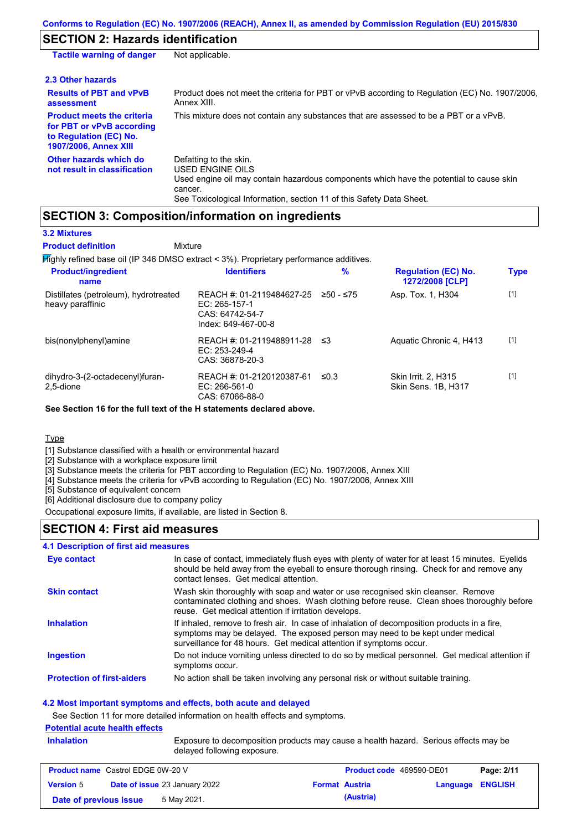# **SECTION 2: Hazards identification**

| <b>Tactile warning of danger</b>                                                                                         | Not applicable.                                                                                                                                                                                                          |
|--------------------------------------------------------------------------------------------------------------------------|--------------------------------------------------------------------------------------------------------------------------------------------------------------------------------------------------------------------------|
| 2.3 Other hazards                                                                                                        |                                                                                                                                                                                                                          |
| <b>Results of PBT and vPvB</b><br>assessment                                                                             | Product does not meet the criteria for PBT or vPvB according to Regulation (EC) No. 1907/2006,<br>Annex XIII.                                                                                                            |
| <b>Product meets the criteria</b><br>for PBT or vPvB according<br>to Regulation (EC) No.<br><b>1907/2006, Annex XIII</b> | This mixture does not contain any substances that are assessed to be a PBT or a vPvB.                                                                                                                                    |
| Other hazards which do<br>not result in classification                                                                   | Defatting to the skin.<br>USED ENGINE OILS<br>Used engine oil may contain hazardous components which have the potential to cause skin<br>cancer.<br>See Toxicological Information, section 11 of this Safety Data Sheet. |

## **SECTION 3: Composition/information on ingredients**

**Mixture** 

#### **3.2 Mixtures**

**Product definition**

Highly refined base oil (IP 346 DMSO extract < 3%). Proprietary performance additives.

| <b>Product/ingredient</b><br>name                         | <b>Identifiers</b>                                                                   | $\%$      | <b>Regulation (EC) No.</b><br>1272/2008 [CLP] | <b>Type</b> |
|-----------------------------------------------------------|--------------------------------------------------------------------------------------|-----------|-----------------------------------------------|-------------|
| Distillates (petroleum), hydrotreated<br>heavy paraffinic | REACH #: 01-2119484627-25<br>EC: 265-157-1<br>CAS: 64742-54-7<br>Index: 649-467-00-8 | ≥50 - ≤75 | Asp. Tox. 1, H304                             | $[1]$       |
| bis(nonylphenyl)amine                                     | REACH #: 01-2119488911-28<br>$EC: 253-249-4$<br>CAS: 36878-20-3                      | - ≤3      | Aquatic Chronic 4, H413                       | $[1]$       |
| dihydro-3-(2-octadecenyl)furan-<br>2.5-dione              | REACH #: 01-2120120387-61<br>$EC: 266-561-0$<br>CAS: 67066-88-0                      | ≤0.3      | Skin Irrit. 2, H315<br>Skin Sens, 1B, H317    | $[1]$       |

**See Section 16 for the full text of the H statements declared above.**

#### Type

[1] Substance classified with a health or environmental hazard

[2] Substance with a workplace exposure limit

[3] Substance meets the criteria for PBT according to Regulation (EC) No. 1907/2006, Annex XIII

[4] Substance meets the criteria for vPvB according to Regulation (EC) No. 1907/2006, Annex XIII

[5] Substance of equivalent concern

[6] Additional disclosure due to company policy

Occupational exposure limits, if available, are listed in Section 8.

#### **SECTION 4: First aid measures**

#### **4.1 Description of first aid measures**

| Eye contact                       | In case of contact, immediately flush eyes with plenty of water for at least 15 minutes. Eyelids<br>should be held away from the eyeball to ensure thorough rinsing. Check for and remove any<br>contact lenses. Get medical attention.             |
|-----------------------------------|-----------------------------------------------------------------------------------------------------------------------------------------------------------------------------------------------------------------------------------------------------|
| <b>Skin contact</b>               | Wash skin thoroughly with soap and water or use recognised skin cleanser. Remove<br>contaminated clothing and shoes. Wash clothing before reuse. Clean shoes thoroughly before<br>reuse. Get medical attention if irritation develops.              |
| <b>Inhalation</b>                 | If inhaled, remove to fresh air. In case of inhalation of decomposition products in a fire,<br>symptoms may be delayed. The exposed person may need to be kept under medical<br>surveillance for 48 hours. Get medical attention if symptoms occur. |
| Ingestion                         | Do not induce vomiting unless directed to do so by medical personnel. Get medical attention if<br>symptoms occur.                                                                                                                                   |
| <b>Protection of first-aiders</b> | No action shall be taken involving any personal risk or without suitable training.                                                                                                                                                                  |

#### **4.2 Most important symptoms and effects, both acute and delayed**

See Section 11 for more detailed information on health effects and symptoms.

#### **Potential acute health effects**

**Inhalation** Exposure to decomposition products may cause a health hazard. Serious effects may be delayed following exposure.

| <b>Product name</b> Castrol EDGE 0W-20 V |                                      |             | <b>Product code</b> 469590-DE01 |                       | Page: 2/11       |  |
|------------------------------------------|--------------------------------------|-------------|---------------------------------|-----------------------|------------------|--|
| <b>Version 5</b>                         | <b>Date of issue 23 January 2022</b> |             |                                 | <b>Format Austria</b> | Language ENGLISH |  |
| Date of previous issue                   |                                      | 5 May 2021. |                                 | (Austria)             |                  |  |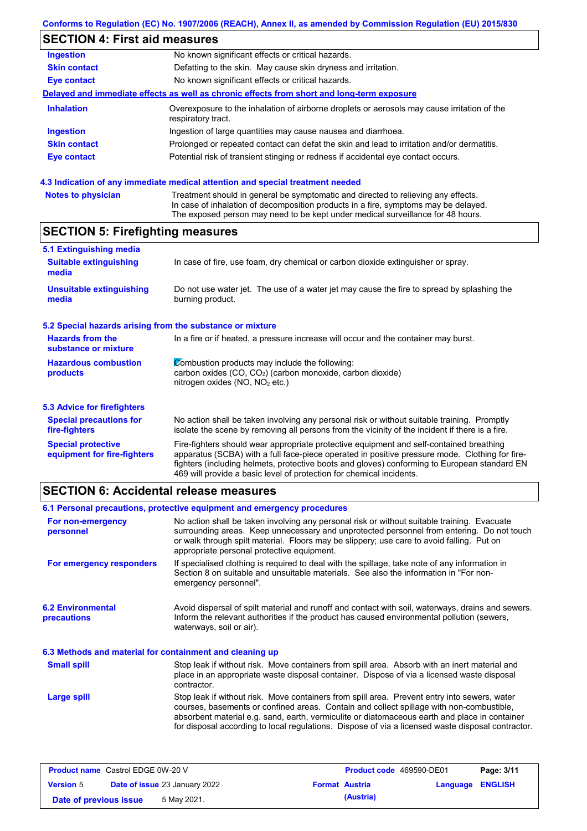# **SECTION 4: First aid measures**

| Ingestion           | No known significant effects or critical hazards.                                                                 |
|---------------------|-------------------------------------------------------------------------------------------------------------------|
| <b>Skin contact</b> | Defatting to the skin. May cause skin dryness and irritation.                                                     |
| Eye contact         | No known significant effects or critical hazards.                                                                 |
|                     | Delayed and immediate effects as well as chronic effects from short and long-term exposure                        |
| <b>Inhalation</b>   | Overexposure to the inhalation of airborne droplets or aerosols may cause irritation of the<br>respiratory tract. |
| <b>Ingestion</b>    | Ingestion of large quantities may cause nausea and diarrhoea.                                                     |
| <b>Skin contact</b> | Prolonged or repeated contact can defat the skin and lead to irritation and/or dermatitis.                        |
| Eye contact         | Potential risk of transient stinging or redness if accidental eye contact occurs.                                 |
|                     |                                                                                                                   |

#### **4.3 Indication of any immediate medical attention and special treatment needed**

| <b>Notes to physician</b> | Treatment should in general be symptomatic and directed to relieving any effects.   |
|---------------------------|-------------------------------------------------------------------------------------|
|                           | In case of inhalation of decomposition products in a fire, symptoms may be delayed. |
|                           | The exposed person may need to be kept under medical surveillance for 48 hours.     |

# **SECTION 5: Firefighting measures**

| 5.1 Extinguishing media                                   |                                                                                                                                                                                                |
|-----------------------------------------------------------|------------------------------------------------------------------------------------------------------------------------------------------------------------------------------------------------|
| <b>Suitable extinguishing</b><br>media                    | In case of fire, use foam, dry chemical or carbon dioxide extinguisher or spray.                                                                                                               |
| <b>Unsuitable extinguishing</b><br>media                  | Do not use water jet. The use of a water jet may cause the fire to spread by splashing the<br>burning product.                                                                                 |
| 5.2 Special hazards arising from the substance or mixture |                                                                                                                                                                                                |
| <b>Hazards from the</b><br>substance or mixture           | In a fire or if heated, a pressure increase will occur and the container may burst.                                                                                                            |
| <b>Hazardous combustion</b>                               | Combustion products may include the following:                                                                                                                                                 |
| products                                                  | carbon oxides (CO, CO <sub>2</sub> ) (carbon monoxide, carbon dioxide)<br>nitrogen oxides ( $NO$ , $NO2$ etc.)                                                                                 |
| 5.3 Advice for firefighters                               |                                                                                                                                                                                                |
| <b>Special precautions for</b><br>fire-fighters           | No action shall be taken involving any personal risk or without suitable training. Promptly<br>isolate the scene by removing all persons from the vicinity of the incident if there is a fire. |
| <b>Special protective</b>                                 | Fire-fighters should wear appropriate protective equipment and self-contained breathing                                                                                                        |

apparatus (SCBA) with a full face-piece operated in positive pressure mode. Clothing for firefighters (including helmets, protective boots and gloves) conforming to European standard EN

# **SECTION 6: Accidental release measures**

**equipment for fire-fighters**

|                                                          | 6.1 Personal precautions, protective equipment and emergency procedures                                                                                                                                                                                                                                                                                                                        |
|----------------------------------------------------------|------------------------------------------------------------------------------------------------------------------------------------------------------------------------------------------------------------------------------------------------------------------------------------------------------------------------------------------------------------------------------------------------|
| For non-emergency<br>personnel                           | No action shall be taken involving any personal risk or without suitable training. Evacuate<br>surrounding areas. Keep unnecessary and unprotected personnel from entering. Do not touch<br>or walk through spilt material. Floors may be slippery; use care to avoid falling. Put on<br>appropriate personal protective equipment.                                                            |
| For emergency responders                                 | If specialised clothing is required to deal with the spillage, take note of any information in<br>Section 8 on suitable and unsuitable materials. See also the information in "For non-<br>emergency personnel".                                                                                                                                                                               |
| <b>6.2 Environmental</b><br><b>precautions</b>           | Avoid dispersal of spilt material and runoff and contact with soil, waterways, drains and sewers.<br>Inform the relevant authorities if the product has caused environmental pollution (sewers,<br>waterways, soil or air).                                                                                                                                                                    |
| 6.3 Methods and material for containment and cleaning up |                                                                                                                                                                                                                                                                                                                                                                                                |
| <b>Small spill</b>                                       | Stop leak if without risk. Move containers from spill area. Absorb with an inert material and<br>place in an appropriate waste disposal container. Dispose of via a licensed waste disposal<br>contractor.                                                                                                                                                                                     |
| Large spill                                              | Stop leak if without risk. Move containers from spill area. Prevent entry into sewers, water<br>courses, basements or confined areas. Contain and collect spillage with non-combustible,<br>absorbent material e.g. sand, earth, vermiculite or diatomaceous earth and place in container<br>for disposal according to local regulations. Dispose of via a licensed waste disposal contractor. |
|                                                          |                                                                                                                                                                                                                                                                                                                                                                                                |

469 will provide a basic level of protection for chemical incidents.

| <b>Product name</b> Castrol EDGE 0W-20 V                 |  |             | <b>Product code</b> 469590-DE01 |                         | Page: 3/11 |  |
|----------------------------------------------------------|--|-------------|---------------------------------|-------------------------|------------|--|
| <b>Date of issue 23 January 2022</b><br><b>Version 5</b> |  |             | <b>Format Austria</b>           | <b>Language ENGLISH</b> |            |  |
| Date of previous issue                                   |  | 5 May 2021. |                                 | (Austria)               |            |  |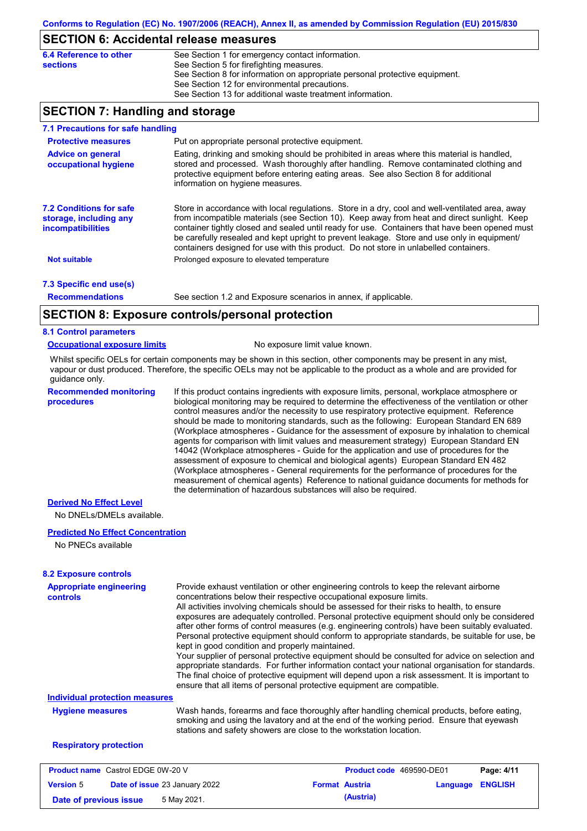#### **SECTION 6: Accidental release measures**

| 6.4 Reference to other | See Section 1 for emergency contact information.                            |
|------------------------|-----------------------------------------------------------------------------|
| sections               | See Section 5 for firefighting measures.                                    |
|                        | See Section 8 for information on appropriate personal protective equipment. |
|                        | See Section 12 for environmental precautions.                               |
|                        | See Section 13 for additional waste treatment information.                  |

## **SECTION 7: Handling and storage**

| 7.1 Precautions for safe handling                                                    |                                                                                                                                                                                                                                                                                                                                                                                                                                                                                          |
|--------------------------------------------------------------------------------------|------------------------------------------------------------------------------------------------------------------------------------------------------------------------------------------------------------------------------------------------------------------------------------------------------------------------------------------------------------------------------------------------------------------------------------------------------------------------------------------|
| <b>Protective measures</b>                                                           | Put on appropriate personal protective equipment.                                                                                                                                                                                                                                                                                                                                                                                                                                        |
| <b>Advice on general</b><br>occupational hygiene                                     | Eating, drinking and smoking should be prohibited in areas where this material is handled,<br>stored and processed. Wash thoroughly after handling. Remove contaminated clothing and<br>protective equipment before entering eating areas. See also Section 8 for additional<br>information on hygiene measures.                                                                                                                                                                         |
| <b>7.2 Conditions for safe</b><br>storage, including any<br><i>incompatibilities</i> | Store in accordance with local regulations. Store in a dry, cool and well-ventilated area, away<br>from incompatible materials (see Section 10). Keep away from heat and direct sunlight. Keep<br>container tightly closed and sealed until ready for use. Containers that have been opened must<br>be carefully resealed and kept upright to prevent leakage. Store and use only in equipment/<br>containers designed for use with this product. Do not store in unlabelled containers. |
| <b>Not suitable</b>                                                                  | Prolonged exposure to elevated temperature                                                                                                                                                                                                                                                                                                                                                                                                                                               |
| 7.3 Specific end use(s)                                                              |                                                                                                                                                                                                                                                                                                                                                                                                                                                                                          |
| <b>Recommendations</b>                                                               | See section 1.2 and Exposure scenarios in annex, if applicable.                                                                                                                                                                                                                                                                                                                                                                                                                          |
|                                                                                      | SECTION 8: Exposure controls/personal protection                                                                                                                                                                                                                                                                                                                                                                                                                                         |

#### **SECTION 8: Exposure controls/personal protection**

#### **8.1 Control parameters**

#### **Occupational exposure limits** No exposure limit value known.

Whilst specific OELs for certain components may be shown in this section, other components may be present in any mist, vapour or dust produced. Therefore, the specific OELs may not be applicable to the product as a whole and are provided for guidance only.

**Recommended monitoring procedures**

If this product contains ingredients with exposure limits, personal, workplace atmosphere or biological monitoring may be required to determine the effectiveness of the ventilation or other control measures and/or the necessity to use respiratory protective equipment. Reference should be made to monitoring standards, such as the following: European Standard EN 689 (Workplace atmospheres - Guidance for the assessment of exposure by inhalation to chemical agents for comparison with limit values and measurement strategy) European Standard EN 14042 (Workplace atmospheres - Guide for the application and use of procedures for the assessment of exposure to chemical and biological agents) European Standard EN 482 (Workplace atmospheres - General requirements for the performance of procedures for the measurement of chemical agents) Reference to national guidance documents for methods for the determination of hazardous substances will also be required.

#### **Derived No Effect Level**

No DNELs/DMELs available.

#### **Predicted No Effect Concentration**

No PNECs available

| <b>Appropriate engineering</b><br><b>controls</b> | Provide exhaust ventilation or other engineering controls to keep the relevant airborne<br>concentrations below their respective occupational exposure limits.<br>All activities involving chemicals should be assessed for their risks to health, to ensure<br>exposures are adequately controlled. Personal protective equipment should only be considered<br>after other forms of control measures (e.g. engineering controls) have been suitably evaluated.<br>Personal protective equipment should conform to appropriate standards, be suitable for use, be<br>kept in good condition and properly maintained.<br>Your supplier of personal protective equipment should be consulted for advice on selection and<br>appropriate standards. For further information contact your national organisation for standards.<br>The final choice of protective equipment will depend upon a risk assessment. It is important to<br>ensure that all items of personal protective equipment are compatible. |                                 |          |                |
|---------------------------------------------------|---------------------------------------------------------------------------------------------------------------------------------------------------------------------------------------------------------------------------------------------------------------------------------------------------------------------------------------------------------------------------------------------------------------------------------------------------------------------------------------------------------------------------------------------------------------------------------------------------------------------------------------------------------------------------------------------------------------------------------------------------------------------------------------------------------------------------------------------------------------------------------------------------------------------------------------------------------------------------------------------------------|---------------------------------|----------|----------------|
| <b>Individual protection measures</b>             |                                                                                                                                                                                                                                                                                                                                                                                                                                                                                                                                                                                                                                                                                                                                                                                                                                                                                                                                                                                                         |                                 |          |                |
| <b>Hygiene measures</b>                           | Wash hands, forearms and face thoroughly after handling chemical products, before eating,<br>smoking and using the lavatory and at the end of the working period. Ensure that eyewash<br>stations and safety showers are close to the workstation location.                                                                                                                                                                                                                                                                                                                                                                                                                                                                                                                                                                                                                                                                                                                                             |                                 |          |                |
| <b>Respiratory protection</b>                     |                                                                                                                                                                                                                                                                                                                                                                                                                                                                                                                                                                                                                                                                                                                                                                                                                                                                                                                                                                                                         |                                 |          |                |
| <b>Product name</b> Castrol EDGE 0W-20 V          |                                                                                                                                                                                                                                                                                                                                                                                                                                                                                                                                                                                                                                                                                                                                                                                                                                                                                                                                                                                                         | <b>Product code</b> 469590-DE01 |          | Page: 4/11     |
| <b>Version 5</b>                                  | Date of issue 23 January 2022                                                                                                                                                                                                                                                                                                                                                                                                                                                                                                                                                                                                                                                                                                                                                                                                                                                                                                                                                                           | <b>Format Austria</b>           | Language | <b>ENGLISH</b> |

**Date of previous issue 6 May 2021. (Austria) (Austria)**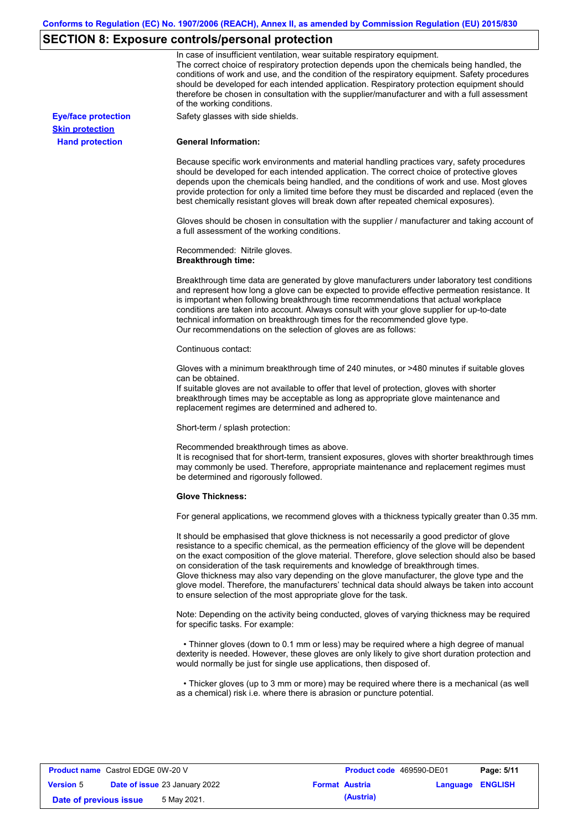# **SECTION 8: Exposure controls/personal protection**

|                            | In case of insufficient ventilation, wear suitable respiratory equipment.<br>The correct choice of respiratory protection depends upon the chemicals being handled, the<br>conditions of work and use, and the condition of the respiratory equipment. Safety procedures<br>should be developed for each intended application. Respiratory protection equipment should<br>therefore be chosen in consultation with the supplier/manufacturer and with a full assessment<br>of the working conditions.                                                                                                                                             |
|----------------------------|---------------------------------------------------------------------------------------------------------------------------------------------------------------------------------------------------------------------------------------------------------------------------------------------------------------------------------------------------------------------------------------------------------------------------------------------------------------------------------------------------------------------------------------------------------------------------------------------------------------------------------------------------|
| <b>Eye/face protection</b> | Safety glasses with side shields.                                                                                                                                                                                                                                                                                                                                                                                                                                                                                                                                                                                                                 |
| <b>Skin protection</b>     |                                                                                                                                                                                                                                                                                                                                                                                                                                                                                                                                                                                                                                                   |
| <b>Hand protection</b>     | <b>General Information:</b>                                                                                                                                                                                                                                                                                                                                                                                                                                                                                                                                                                                                                       |
|                            | Because specific work environments and material handling practices vary, safety procedures<br>should be developed for each intended application. The correct choice of protective gloves<br>depends upon the chemicals being handled, and the conditions of work and use. Most gloves<br>provide protection for only a limited time before they must be discarded and replaced (even the<br>best chemically resistant gloves will break down after repeated chemical exposures).                                                                                                                                                                  |
|                            | Gloves should be chosen in consultation with the supplier / manufacturer and taking account of<br>a full assessment of the working conditions.                                                                                                                                                                                                                                                                                                                                                                                                                                                                                                    |
|                            | Recommended: Nitrile gloves.<br><b>Breakthrough time:</b>                                                                                                                                                                                                                                                                                                                                                                                                                                                                                                                                                                                         |
|                            | Breakthrough time data are generated by glove manufacturers under laboratory test conditions<br>and represent how long a glove can be expected to provide effective permeation resistance. It<br>is important when following breakthrough time recommendations that actual workplace<br>conditions are taken into account. Always consult with your glove supplier for up-to-date<br>technical information on breakthrough times for the recommended glove type.<br>Our recommendations on the selection of gloves are as follows:                                                                                                                |
|                            | Continuous contact:                                                                                                                                                                                                                                                                                                                                                                                                                                                                                                                                                                                                                               |
|                            | Gloves with a minimum breakthrough time of 240 minutes, or >480 minutes if suitable gloves<br>can be obtained.<br>If suitable gloves are not available to offer that level of protection, gloves with shorter<br>breakthrough times may be acceptable as long as appropriate glove maintenance and<br>replacement regimes are determined and adhered to.                                                                                                                                                                                                                                                                                          |
|                            | Short-term / splash protection:                                                                                                                                                                                                                                                                                                                                                                                                                                                                                                                                                                                                                   |
|                            | Recommended breakthrough times as above.<br>It is recognised that for short-term, transient exposures, gloves with shorter breakthrough times<br>may commonly be used. Therefore, appropriate maintenance and replacement regimes must<br>be determined and rigorously followed.                                                                                                                                                                                                                                                                                                                                                                  |
|                            | <b>Glove Thickness:</b>                                                                                                                                                                                                                                                                                                                                                                                                                                                                                                                                                                                                                           |
|                            | For general applications, we recommend gloves with a thickness typically greater than 0.35 mm.                                                                                                                                                                                                                                                                                                                                                                                                                                                                                                                                                    |
|                            | It should be emphasised that glove thickness is not necessarily a good predictor of glove<br>resistance to a specific chemical, as the permeation efficiency of the glove will be dependent<br>on the exact composition of the glove material. Therefore, glove selection should also be based<br>on consideration of the task requirements and knowledge of breakthrough times.<br>Glove thickness may also vary depending on the glove manufacturer, the glove type and the<br>glove model. Therefore, the manufacturers' technical data should always be taken into account<br>to ensure selection of the most appropriate glove for the task. |
|                            | Note: Depending on the activity being conducted, gloves of varying thickness may be required<br>for specific tasks. For example:                                                                                                                                                                                                                                                                                                                                                                                                                                                                                                                  |
|                            | • Thinner gloves (down to 0.1 mm or less) may be required where a high degree of manual<br>dexterity is needed. However, these gloves are only likely to give short duration protection and<br>would normally be just for single use applications, then disposed of.                                                                                                                                                                                                                                                                                                                                                                              |
|                            | • Thicker gloves (up to 3 mm or more) may be required where there is a mechanical (as well<br>as a chemical) risk i.e. where there is abrasion or puncture potential.                                                                                                                                                                                                                                                                                                                                                                                                                                                                             |

| <b>Product name</b> Castrol EDGE 0W-20 V |  |                                      | <b>Product code</b> 469590-DE01 |                       | Page: 5/11              |  |
|------------------------------------------|--|--------------------------------------|---------------------------------|-----------------------|-------------------------|--|
| <b>Version 5</b>                         |  | <b>Date of issue 23 January 2022</b> |                                 | <b>Format Austria</b> | <b>Language ENGLISH</b> |  |
| Date of previous issue                   |  | 5 May 2021.                          |                                 | (Austria)             |                         |  |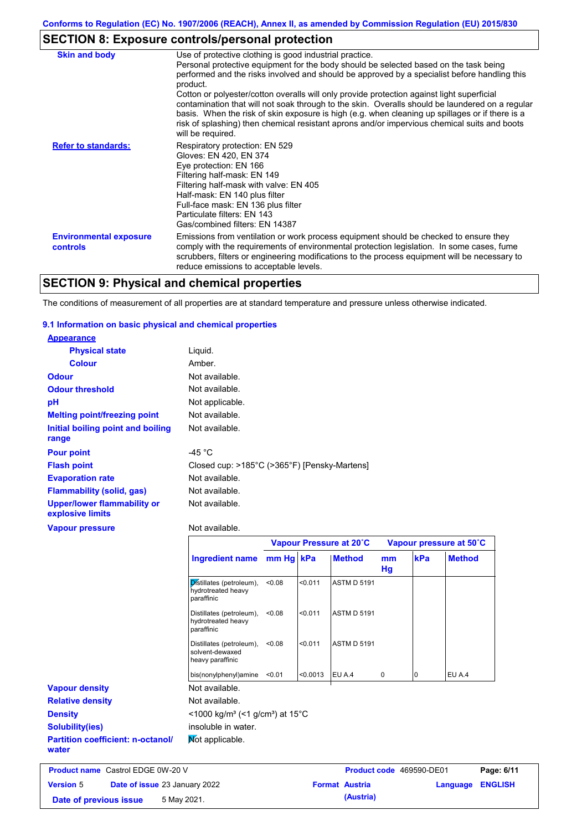# **SECTION 8: Exposure controls/personal protection**

| <b>Skin and body</b>                             | Use of protective clothing is good industrial practice.                                                                                                                                                                                                                                                                                                                                                               |
|--------------------------------------------------|-----------------------------------------------------------------------------------------------------------------------------------------------------------------------------------------------------------------------------------------------------------------------------------------------------------------------------------------------------------------------------------------------------------------------|
|                                                  | Personal protective equipment for the body should be selected based on the task being<br>performed and the risks involved and should be approved by a specialist before handling this<br>product.                                                                                                                                                                                                                     |
|                                                  | Cotton or polyester/cotton overalls will only provide protection against light superficial<br>contamination that will not soak through to the skin. Overalls should be laundered on a regular<br>basis. When the risk of skin exposure is high (e.g. when cleaning up spillages or if there is a<br>risk of splashing) then chemical resistant aprons and/or impervious chemical suits and boots<br>will be required. |
| <b>Refer to standards:</b>                       | Respiratory protection: EN 529<br>Gloves: EN 420, EN 374<br>Eye protection: EN 166<br>Filtering half-mask: EN 149<br>Filtering half-mask with valve: EN 405<br>Half-mask: EN 140 plus filter<br>Full-face mask: EN 136 plus filter<br>Particulate filters: EN 143<br>Gas/combined filters: EN 14387                                                                                                                   |
| <b>Environmental exposure</b><br><b>controls</b> | Emissions from ventilation or work process equipment should be checked to ensure they<br>comply with the requirements of environmental protection legislation. In some cases, fume<br>scrubbers, filters or engineering modifications to the process equipment will be necessary to<br>reduce emissions to acceptable levels.                                                                                         |

# **SECTION 9: Physical and chemical properties**

The conditions of measurement of all properties are at standard temperature and pressure unless otherwise indicated.

#### **9.1 Information on basic physical and chemical properties**

| <b>Appearance</b>                                      |                                                              |           |         |                         |          |     |                         |
|--------------------------------------------------------|--------------------------------------------------------------|-----------|---------|-------------------------|----------|-----|-------------------------|
| <b>Physical state</b>                                  | Liquid.                                                      |           |         |                         |          |     |                         |
| <b>Colour</b>                                          | Amber.                                                       |           |         |                         |          |     |                         |
| <b>Odour</b>                                           | Not available.                                               |           |         |                         |          |     |                         |
| <b>Odour threshold</b>                                 | Not available.                                               |           |         |                         |          |     |                         |
| pH                                                     | Not applicable.                                              |           |         |                         |          |     |                         |
| <b>Melting point/freezing point</b>                    | Not available.                                               |           |         |                         |          |     |                         |
| <b>Initial boiling point and boiling</b><br>range      | Not available.                                               |           |         |                         |          |     |                         |
| <b>Pour point</b>                                      | $-45 °C$                                                     |           |         |                         |          |     |                         |
| <b>Flash point</b>                                     | Closed cup: >185°C (>365°F) [Pensky-Martens]                 |           |         |                         |          |     |                         |
| <b>Evaporation rate</b>                                | Not available.                                               |           |         |                         |          |     |                         |
| <b>Flammability (solid, gas)</b>                       | Not available.                                               |           |         |                         |          |     |                         |
| <b>Upper/lower flammability or</b><br>explosive limits | Not available.                                               |           |         |                         |          |     |                         |
| <b>Vapour pressure</b>                                 | Not available.                                               |           |         |                         |          |     |                         |
|                                                        |                                                              |           |         | Vapour Pressure at 20°C |          |     | Vapour pressure at 50°C |
|                                                        | <b>Ingredient name</b>                                       | mm Hg kPa |         | <b>Method</b>           | mm<br>Hg | kPa | <b>Method</b>           |
|                                                        | Distillates (petroleum),<br>hydrotreated heavy<br>paraffinic | < 0.08    | < 0.011 | <b>ASTM D 5191</b>      |          |     |                         |
|                                                        | Distillates (petroleum),<br>hydrotreated heavy<br>paraffinic | < 0.08    | < 0.011 | <b>ASTM D 5191</b>      |          |     |                         |
|                                                        | Distillates (petroleum).                                     | < 0.08    | < 0.011 | <b>ASTM D 5191</b>      |          |     |                         |

|                                                   | parammu                                                                    |        |          |                    |   |    |        |
|---------------------------------------------------|----------------------------------------------------------------------------|--------|----------|--------------------|---|----|--------|
|                                                   | Distillates (petroleum),<br>solvent-dewaxed<br>heavy paraffinic            | < 0.08 | < 0.011  | <b>ASTM D 5191</b> |   |    |        |
|                                                   | bis(nonylphenyl)amine                                                      | < 0.01 | < 0.0013 | EU A.4             | 0 | 10 | EU A.4 |
| <b>Vapour density</b>                             | Not available.                                                             |        |          |                    |   |    |        |
| <b>Relative density</b>                           | Not available.                                                             |        |          |                    |   |    |        |
| <b>Density</b>                                    | $\leq$ 1000 kg/m <sup>3</sup> (<1 g/cm <sup>3</sup> ) at 15 <sup>°</sup> C |        |          |                    |   |    |        |
| <b>Solubility(ies)</b>                            | insoluble in water.                                                        |        |          |                    |   |    |        |
| <b>Partition coefficient: n-octanol/</b><br>water | Mot applicable.                                                            |        |          |                    |   |    |        |
|                                                   |                                                                            |        |          |                    |   |    |        |

| <b>Product name</b> Castrol EDGE 0W-20 V |  |                                      | <b>Product code</b> 469590-DE01 |                       | Page: 6/11              |  |
|------------------------------------------|--|--------------------------------------|---------------------------------|-----------------------|-------------------------|--|
| <b>Version 5</b>                         |  | <b>Date of issue 23 January 2022</b> |                                 | <b>Format Austria</b> | <b>Language ENGLISH</b> |  |
| Date of previous issue                   |  | 5 May 2021.                          |                                 | (Austria)             |                         |  |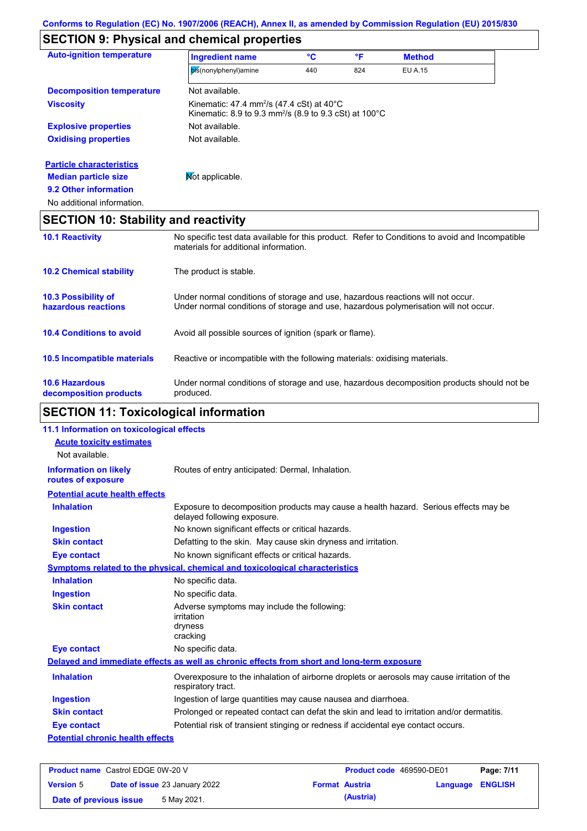# **SECTION 9: Physical and chemical properties**

| °C<br>°F<br><b>Ingredient name</b><br><b>Method</b><br>bis(nonylphenyl)amine<br>440<br>824<br>EU A.15<br>Not available.<br>Kinematic: 47.4 mm <sup>2</sup> /s (47.4 cSt) at 40 $^{\circ}$ C<br>Kinematic: 8.9 to 9.3 mm <sup>2</sup> /s (8.9 to 9.3 cSt) at 100°C<br>Not available.<br>Not available.<br>Mot applicable.<br><b>SECTION 10: Stability and reactivity</b><br>materials for additional information. |                                  |  |  |  |
|------------------------------------------------------------------------------------------------------------------------------------------------------------------------------------------------------------------------------------------------------------------------------------------------------------------------------------------------------------------------------------------------------------------|----------------------------------|--|--|--|
|                                                                                                                                                                                                                                                                                                                                                                                                                  | <b>Auto-ignition temperature</b> |  |  |  |
|                                                                                                                                                                                                                                                                                                                                                                                                                  |                                  |  |  |  |
|                                                                                                                                                                                                                                                                                                                                                                                                                  | <b>Decomposition temperature</b> |  |  |  |
|                                                                                                                                                                                                                                                                                                                                                                                                                  | <b>Viscosity</b>                 |  |  |  |
|                                                                                                                                                                                                                                                                                                                                                                                                                  | <b>Explosive properties</b>      |  |  |  |
|                                                                                                                                                                                                                                                                                                                                                                                                                  | <b>Oxidising properties</b>      |  |  |  |
|                                                                                                                                                                                                                                                                                                                                                                                                                  | <b>Particle characteristics</b>  |  |  |  |
|                                                                                                                                                                                                                                                                                                                                                                                                                  | <b>Median particle size</b>      |  |  |  |
|                                                                                                                                                                                                                                                                                                                                                                                                                  | 9.2 Other information            |  |  |  |
| No specific test data available for this product. Refer to Conditions to avoid and Incompatible                                                                                                                                                                                                                                                                                                                  | No additional information.       |  |  |  |
|                                                                                                                                                                                                                                                                                                                                                                                                                  |                                  |  |  |  |
|                                                                                                                                                                                                                                                                                                                                                                                                                  | <b>10.1 Reactivity</b>           |  |  |  |

| <b>10.2 Chemical stability</b>                    | The product is stable.                                                                                                                                                  |
|---------------------------------------------------|-------------------------------------------------------------------------------------------------------------------------------------------------------------------------|
| <b>10.3 Possibility of</b><br>hazardous reactions | Under normal conditions of storage and use, hazardous reactions will not occur.<br>Under normal conditions of storage and use, hazardous polymerisation will not occur. |
| <b>10.4 Conditions to avoid</b>                   | Avoid all possible sources of ignition (spark or flame).                                                                                                                |
| 10.5 Incompatible materials                       | Reactive or incompatible with the following materials: oxidising materials.                                                                                             |
| <b>10.6 Hazardous</b><br>decomposition products   | Under normal conditions of storage and use, hazardous decomposition products should not be<br>produced.                                                                 |

# **SECTION 11: Toxicological information**

| 11.1 Information on toxicological effects          |                                                                                                                     |
|----------------------------------------------------|---------------------------------------------------------------------------------------------------------------------|
| <b>Acute toxicity estimates</b>                    |                                                                                                                     |
| Not available.                                     |                                                                                                                     |
| <b>Information on likely</b><br>routes of exposure | Routes of entry anticipated: Dermal, Inhalation.                                                                    |
| <b>Potential acute health effects</b>              |                                                                                                                     |
| <b>Inhalation</b>                                  | Exposure to decomposition products may cause a health hazard. Serious effects may be<br>delayed following exposure. |
| <b>Ingestion</b>                                   | No known significant effects or critical hazards.                                                                   |
| <b>Skin contact</b>                                | Defatting to the skin. May cause skin dryness and irritation.                                                       |
| <b>Eye contact</b>                                 | No known significant effects or critical hazards.                                                                   |
|                                                    | <b>Symptoms related to the physical, chemical and toxicological characteristics</b>                                 |
| <b>Inhalation</b>                                  | No specific data.                                                                                                   |
| <b>Ingestion</b>                                   | No specific data.                                                                                                   |
| <b>Skin contact</b>                                | Adverse symptoms may include the following:<br>irritation<br>dryness<br>cracking                                    |
| <b>Eye contact</b>                                 | No specific data.                                                                                                   |
|                                                    | Delayed and immediate effects as well as chronic effects from short and long-term exposure                          |
| <b>Inhalation</b>                                  | Overexposure to the inhalation of airborne droplets or aerosols may cause irritation of the<br>respiratory tract.   |
| <b>Ingestion</b>                                   | Ingestion of large quantities may cause nausea and diarrhoea.                                                       |
| <b>Skin contact</b>                                | Prolonged or repeated contact can defat the skin and lead to irritation and/or dermatitis.                          |
| <b>Eye contact</b>                                 | Potential risk of transient stinging or redness if accidental eye contact occurs.                                   |
| <b>Potential chronic health effects</b>            |                                                                                                                     |

| <b>Product name</b> Castrol EDGE 0W-20 V |  |                                      | <b>Product code</b> 469590-DE01 |                       | Page: 7/11              |  |
|------------------------------------------|--|--------------------------------------|---------------------------------|-----------------------|-------------------------|--|
| <b>Version 5</b>                         |  | <b>Date of issue 23 January 2022</b> |                                 | <b>Format Austria</b> | <b>Language ENGLISH</b> |  |
| Date of previous issue                   |  | 5 May 2021.                          |                                 | (Austria)             |                         |  |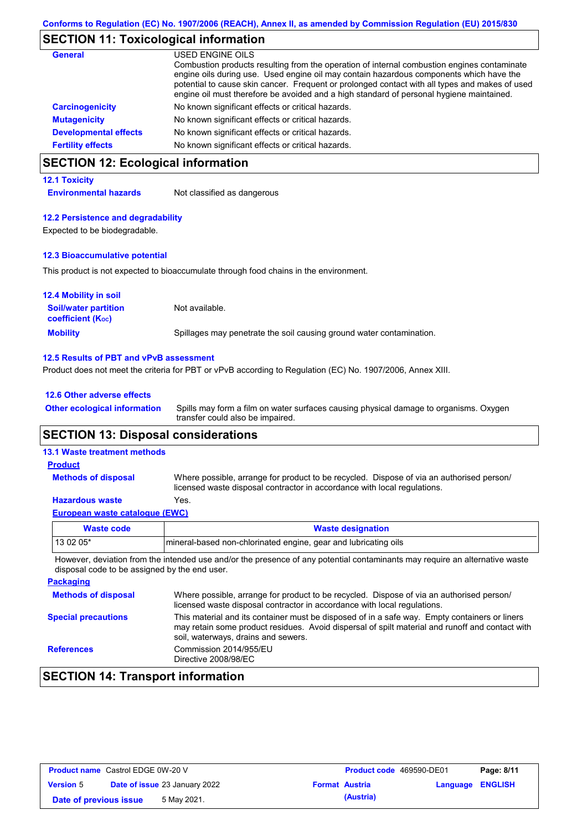# **SECTION 11: Toxicological information**

| <b>General</b>               | USED ENGINE OILS<br>Combustion products resulting from the operation of internal combustion engines contaminate<br>engine oils during use. Used engine oil may contain hazardous components which have the<br>potential to cause skin cancer. Frequent or prolonged contact with all types and makes of used<br>engine oil must therefore be avoided and a high standard of personal hygiene maintained. |
|------------------------------|----------------------------------------------------------------------------------------------------------------------------------------------------------------------------------------------------------------------------------------------------------------------------------------------------------------------------------------------------------------------------------------------------------|
| <b>Carcinogenicity</b>       | No known significant effects or critical hazards.                                                                                                                                                                                                                                                                                                                                                        |
| <b>Mutagenicity</b>          | No known significant effects or critical hazards.                                                                                                                                                                                                                                                                                                                                                        |
| <b>Developmental effects</b> | No known significant effects or critical hazards.                                                                                                                                                                                                                                                                                                                                                        |
| <b>Fertility effects</b>     | No known significant effects or critical hazards.                                                                                                                                                                                                                                                                                                                                                        |

# **SECTION 12: Ecological information**

#### **12.1 Toxicity**

**Environmental hazards** Not classified as dangerous

#### **12.2 Persistence and degradability**

Expected to be biodegradable.

#### **12.3 Bioaccumulative potential**

This product is not expected to bioaccumulate through food chains in the environment.

| <b>12.4 Mobility in soil</b>                                  |                                                                      |
|---------------------------------------------------------------|----------------------------------------------------------------------|
| <b>Soil/water partition</b><br>coefficient (K <sub>oc</sub> ) | Not available.                                                       |
| <b>Mobility</b>                                               | Spillages may penetrate the soil causing ground water contamination. |

#### **12.5 Results of PBT and vPvB assessment**

Product does not meet the criteria for PBT or vPvB according to Regulation (EC) No. 1907/2006, Annex XIII.

#### **12.6 Other adverse effects**

Spills may form a film on water surfaces causing physical damage to organisms. Oxygen transfer could also be impaired. **Other ecological information**

#### **SECTION 13: Disposal considerations**

#### **13.1 Waste treatment methods**

**Methods of disposal**

#### **Product**

Where possible, arrange for product to be recycled. Dispose of via an authorised person/ licensed waste disposal contractor in accordance with local regulations.

#### **Hazardous waste** Yes.

|  | European waste catalogue (EWC) |  |
|--|--------------------------------|--|
|  |                                |  |

| <b>Waste code</b> | <b>Waste designation</b>                                        |  |  |
|-------------------|-----------------------------------------------------------------|--|--|
| $130205*$         | mineral-based non-chlorinated engine, gear and lubricating oils |  |  |
|                   |                                                                 |  |  |

However, deviation from the intended use and/or the presence of any potential contaminants may require an alternative waste disposal code to be assigned by the end user.

| <b>Packaging</b>           |                                                                                                                                                                                                                                         |
|----------------------------|-----------------------------------------------------------------------------------------------------------------------------------------------------------------------------------------------------------------------------------------|
| <b>Methods of disposal</b> | Where possible, arrange for product to be recycled. Dispose of via an authorised person/<br>licensed waste disposal contractor in accordance with local regulations.                                                                    |
| <b>Special precautions</b> | This material and its container must be disposed of in a safe way. Empty containers or liners<br>may retain some product residues. Avoid dispersal of spilt material and runoff and contact with<br>soil, waterways, drains and sewers. |
| <b>References</b>          | Commission 2014/955/EU<br>Directive 2008/98/EC                                                                                                                                                                                          |

# **SECTION 14: Transport information**

| <b>Product name</b> Castrol EDGE 0W-20 V |                                      |                       | <b>Product code</b> 469590-DE01 |                         | Page: 8/11 |
|------------------------------------------|--------------------------------------|-----------------------|---------------------------------|-------------------------|------------|
| <b>Version 5</b>                         | <b>Date of issue 23 January 2022</b> | <b>Format Austria</b> |                                 | <b>Language ENGLISH</b> |            |
| Date of previous issue                   | 5 May 2021.                          |                       | (Austria)                       |                         |            |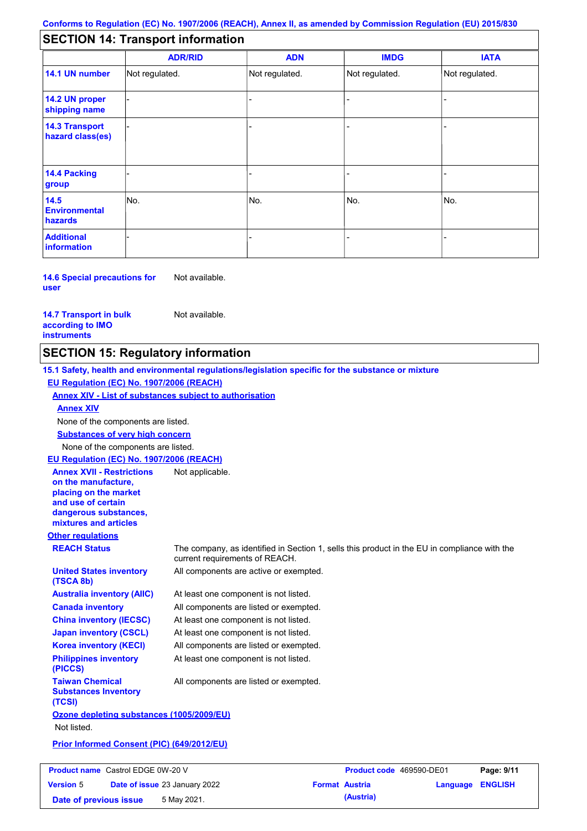# **SECTION 14: Transport information**

|                                           | <b>ADR/RID</b> | <b>ADN</b>     | <b>IMDG</b>    | <b>IATA</b>    |
|-------------------------------------------|----------------|----------------|----------------|----------------|
| 14.1 UN number                            | Not regulated. | Not regulated. | Not regulated. | Not regulated. |
| 14.2 UN proper<br>shipping name           |                |                |                |                |
| <b>14.3 Transport</b><br>hazard class(es) |                |                |                |                |
| 14.4 Packing<br>group                     |                |                |                |                |
| 14.5<br><b>Environmental</b><br>hazards   | No.            | No.            | No.            | No.            |
| <b>Additional</b><br>information          |                |                |                |                |

**14.6 Special precautions for user** Not available.

**14.7 Transport in bulk according to IMO instruments**

Not available.

## **SECTION 15: Regulatory information**

**Other regulations REACH Status** The company, as identified in Section 1, sells this product in the EU in compliance with the current requirements of REACH. **15.1 Safety, health and environmental regulations/legislation specific for the substance or mixture EU Regulation (EC) No. 1907/2006 (REACH) Annex XIV - List of substances subject to authorisation Substances of very high concern** None of the components are listed. At least one component is not listed. All components are listed or exempted. At least one component is not listed. At least one component is not listed. All components are active or exempted. All components are listed or exempted. At least one component is not listed. **United States inventory (TSCA 8b) Australia inventory (AIIC) Canada inventory China inventory (IECSC) Japan inventory (CSCL) Korea inventory (KECI) Philippines inventory (PICCS) Taiwan Chemical Substances Inventory (TCSI)** All components are listed or exempted. **Ozone depleting substances (1005/2009/EU)** Not listed. **Prior Informed Consent (PIC) (649/2012/EU)** None of the components are listed. **Annex XIV EU Regulation (EC) No. 1907/2006 (REACH) Annex XVII - Restrictions on the manufacture, placing on the market and use of certain dangerous substances, mixtures and articles** Not applicable.

| <b>Product name</b> Castrol EDGE 0W-20 V |  |                                      | <b>Product code</b> 469590-DE01 |                         | Page: 9/11 |
|------------------------------------------|--|--------------------------------------|---------------------------------|-------------------------|------------|
| <b>Version 5</b>                         |  | <b>Date of issue 23 January 2022</b> | <b>Format Austria</b>           | <b>Language ENGLISH</b> |            |
| Date of previous issue                   |  | 5 May 2021.                          | (Austria)                       |                         |            |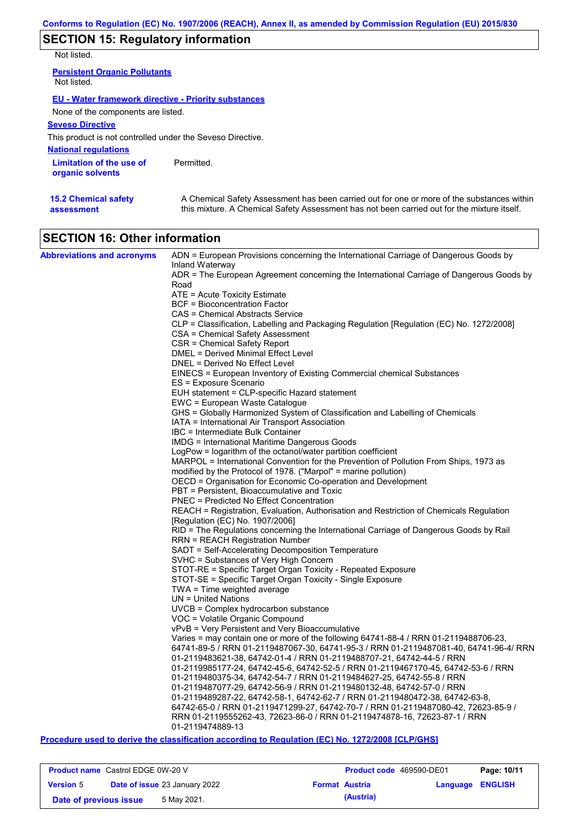# **SECTION 15: Regulatory information**

Not listed.

| <b>Persistent Organic Pollutants</b><br>Not listed.         |            |
|-------------------------------------------------------------|------------|
| <b>EU - Water framework directive - Priority substances</b> |            |
| None of the components are listed.                          |            |
| <b>Seveso Directive</b>                                     |            |
| This product is not controlled under the Seveso Directive.  |            |
| <b>National requlations</b>                                 |            |
| Limitation of the use of<br>organic solvents                | Permitted. |

# **SECTION 16: Other information**

| <b>Abbreviations and acronyms</b> | ADN = European Provisions concerning the International Carriage of Dangerous Goods by    |
|-----------------------------------|------------------------------------------------------------------------------------------|
|                                   | Inland Waterway                                                                          |
|                                   | ADR = The European Agreement concerning the International Carriage of Dangerous Goods by |
|                                   | Road                                                                                     |
|                                   | ATE = Acute Toxicity Estimate                                                            |
|                                   | <b>BCF</b> = Bioconcentration Factor<br>CAS = Chemical Abstracts Service                 |
|                                   | CLP = Classification, Labelling and Packaging Regulation [Regulation (EC) No. 1272/2008] |
|                                   | <b>CSA</b> = Chemical Safety Assessment                                                  |
|                                   | CSR = Chemical Safety Report                                                             |
|                                   | DMEL = Derived Minimal Effect Level                                                      |
|                                   | DNEL = Derived No Effect Level                                                           |
|                                   | EINECS = European Inventory of Existing Commercial chemical Substances                   |
|                                   | ES = Exposure Scenario                                                                   |
|                                   | EUH statement = CLP-specific Hazard statement                                            |
|                                   | EWC = European Waste Catalogue                                                           |
|                                   | GHS = Globally Harmonized System of Classification and Labelling of Chemicals            |
|                                   | IATA = International Air Transport Association                                           |
|                                   | IBC = Intermediate Bulk Container                                                        |
|                                   | IMDG = International Maritime Dangerous Goods                                            |
|                                   | LogPow = logarithm of the octanol/water partition coefficient                            |
|                                   | MARPOL = International Convention for the Prevention of Pollution From Ships, 1973 as    |
|                                   | modified by the Protocol of 1978. ("Marpol" = marine pollution)                          |
|                                   | OECD = Organisation for Economic Co-operation and Development                            |
|                                   | PBT = Persistent, Bioaccumulative and Toxic                                              |
|                                   | <b>PNEC = Predicted No Effect Concentration</b>                                          |
|                                   | REACH = Registration, Evaluation, Authorisation and Restriction of Chemicals Regulation  |
|                                   | [Regulation (EC) No. 1907/2006]                                                          |
|                                   | RID = The Regulations concerning the International Carriage of Dangerous Goods by Rail   |
|                                   | <b>RRN = REACH Registration Number</b>                                                   |
|                                   | SADT = Self-Accelerating Decomposition Temperature                                       |
|                                   | SVHC = Substances of Very High Concern                                                   |
|                                   | STOT-RE = Specific Target Organ Toxicity - Repeated Exposure                             |
|                                   | STOT-SE = Specific Target Organ Toxicity - Single Exposure                               |
|                                   | TWA = Time weighted average<br>$UN = United Nations$                                     |
|                                   | $UVCB = Complex\;hydrocarbon\; substance$                                                |
|                                   | VOC = Volatile Organic Compound                                                          |
|                                   | vPvB = Very Persistent and Very Bioaccumulative                                          |
|                                   | Varies = may contain one or more of the following 64741-88-4 / RRN 01-2119488706-23,     |
|                                   | 64741-89-5 / RRN 01-2119487067-30, 64741-95-3 / RRN 01-2119487081-40, 64741-96-4/ RRN    |
|                                   | 01-2119483621-38, 64742-01-4 / RRN 01-2119488707-21, 64742-44-5 / RRN                    |
|                                   | 01-2119985177-24, 64742-45-6, 64742-52-5 / RRN 01-2119467170-45, 64742-53-6 / RRN        |
|                                   | 01-2119480375-34, 64742-54-7 / RRN 01-2119484627-25, 64742-55-8 / RRN                    |
|                                   | 01-2119487077-29, 64742-56-9 / RRN 01-2119480132-48, 64742-57-0 / RRN                    |
|                                   | 01-2119489287-22, 64742-58-1, 64742-62-7 / RRN 01-2119480472-38, 64742-63-8,             |
|                                   | 64742-65-0 / RRN 01-2119471299-27, 64742-70-7 / RRN 01-2119487080-42, 72623-85-9 /       |
|                                   | RRN 01-2119555262-43, 72623-86-0 / RRN 01-2119474878-16, 72623-87-1 / RRN                |
|                                   | 01-2119474889-13                                                                         |

#### **Procedure used to derive the classification according to Regulation (EC) No. 1272/2008 [CLP/GHS]**

| <b>Product name</b> Castrol EDGE 0W-20 V |  |                                      |                       | <b>Product code</b> 469590-DE01 | Page: 10/11      |  |
|------------------------------------------|--|--------------------------------------|-----------------------|---------------------------------|------------------|--|
| <b>Version 5</b>                         |  | <b>Date of issue 23 January 2022</b> | <b>Format Austria</b> |                                 | Language ENGLISH |  |
| Date of previous issue                   |  | 5 May 2021.                          |                       | (Austria)                       |                  |  |